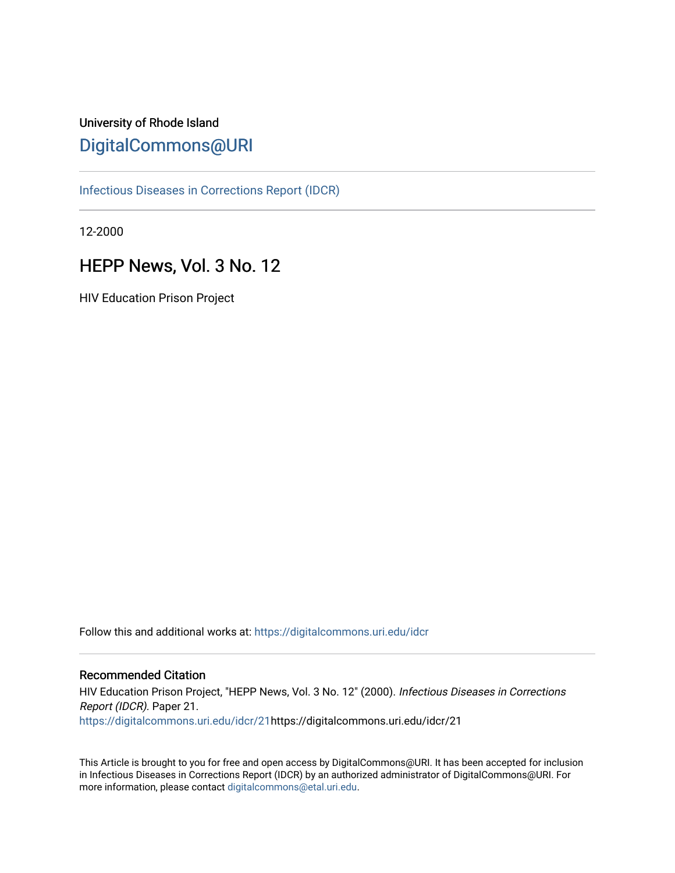# University of Rhode Island [DigitalCommons@URI](https://digitalcommons.uri.edu/)

[Infectious Diseases in Corrections Report \(IDCR\)](https://digitalcommons.uri.edu/idcr)

12-2000

# HEPP News, Vol. 3 No. 12

HIV Education Prison Project

Follow this and additional works at: [https://digitalcommons.uri.edu/idcr](https://digitalcommons.uri.edu/idcr?utm_source=digitalcommons.uri.edu%2Fidcr%2F21&utm_medium=PDF&utm_campaign=PDFCoverPages)

### Recommended Citation

HIV Education Prison Project, "HEPP News, Vol. 3 No. 12" (2000). Infectious Diseases in Corrections Report (IDCR). Paper 21. [https://digitalcommons.uri.edu/idcr/21h](https://digitalcommons.uri.edu/idcr/21?utm_source=digitalcommons.uri.edu%2Fidcr%2F21&utm_medium=PDF&utm_campaign=PDFCoverPages)ttps://digitalcommons.uri.edu/idcr/21

This Article is brought to you for free and open access by DigitalCommons@URI. It has been accepted for inclusion in Infectious Diseases in Corrections Report (IDCR) by an authorized administrator of DigitalCommons@URI. For more information, please contact [digitalcommons@etal.uri.edu.](mailto:digitalcommons@etal.uri.edu)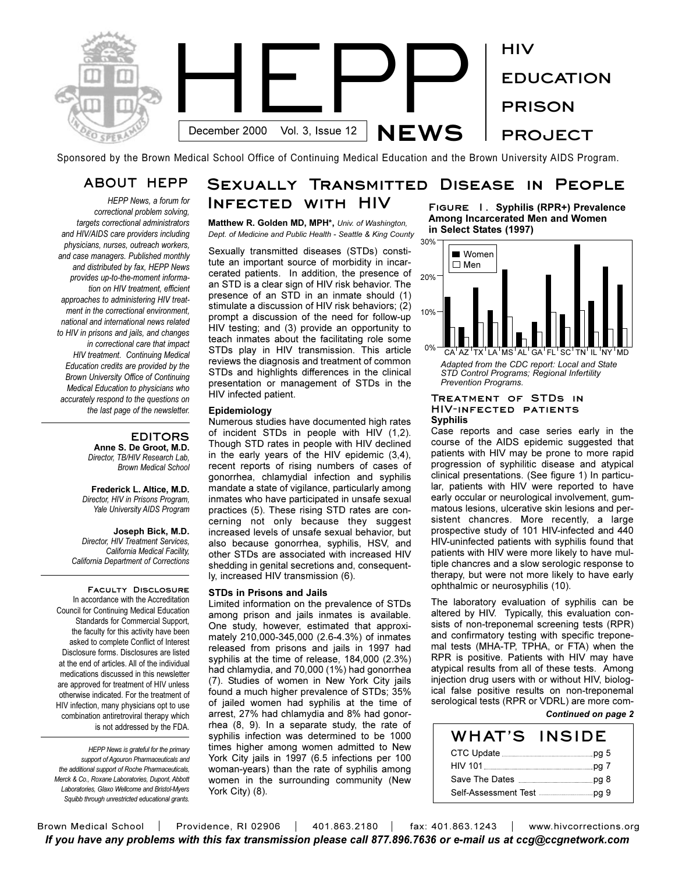

Sponsored by the Brown Medical School Office of Continuing Medical Education and the Brown University AIDS Program.

### **ABOUT HEPP**

*HEPP News, a forum for correctional problem solving, targets correctional administrators and HIV/AIDS care providers including physicians, nurses, outreach workers, and case managers. Published monthly and distributed by fax, HEPP News provides up-to-the-moment information on HIV treatment, efficient approaches to administering HIV treatment in the correctional environment, national and international news related to HIV in prisons and jails, and changes in correctional care that impact HIV treatment. Continuing Medical Education credits are provided by the Brown University Office of Continuing Medical Education to physicians who accurately respond to the questions on the last page of the newsletter.* 

#### **EDITORS**

**Anne S. De Groot, M.D.** *Director, TB/HIV Research Lab, Brown Medical School*

**Frederick L. Altice, M.D.** *Director, HIV in Prisons Program, Yale University AIDS Program*

**Joseph Bick, M.D.** *Director, HIV Treatment Services, California Medical Facility, California Department of Corrections*

**Faculty Disclosure**  In accordance with the Accreditation Council for Continuing Medical Education Standards for Commercial Support, the faculty for this activity have been asked to complete Conflict of Interest Disclosure forms. Disclosures are listed at the end of articles. All of the individual medications discussed in this newsletter are approved for treatment of HIV unless otherwise indicated. For the treatment of HIV infection, many physicians opt to use combination antiretroviral therapy which is not addressed by the FDA.

*HEPP News is grateful for the primary support of Agouron Pharmaceuticals and the additional support of Roche Pharmaceuticals, Merck & Co., Roxane Laboratories, Dupont, Abbott Laboratories, Glaxo Wellcome and Bristol-Myers Squibb through unrestricted educational grants.*

#### **Sexually Transmitted Disease in People Infected with HIV Figure 1. Syphilis (RPR+) Prevalence**

**Matthew R. Golden MD, MPH\*,** *Univ. of Washington, Dept. of Medicine and Public Health - Seattle & King County*

Sexually transmitted diseases (STDs) constitute an important source of morbidity in incarcerated patients. In addition, the presence of an STD is a clear sign of HIV risk behavior. The presence of an STD in an inmate should (1) stimulate a discussion of HIV risk behaviors; (2) prompt a discussion of the need for follow-up HIV testing; and (3) provide an opportunity to teach inmates about the facilitating role some STDs play in HIV transmission. This article reviews the diagnosis and treatment of common STDs and highlights differences in the clinical presentation or management of STDs in the HIV infected patient.

#### **Epidemiology**

Numerous studies have documented high rates of incident STDs in people with HIV (1,2). Though STD rates in people with HIV declined in the early years of the HIV epidemic (3,4), recent reports of rising numbers of cases of gonorrhea, chlamydial infection and syphilis mandate a state of vigilance, particularly among inmates who have participated in unsafe sexual practices (5). These rising STD rates are concerning not only because they suggest increased levels of unsafe sexual behavior, but also because gonorrhea, syphilis, HSV, and other STDs are associated with increased HIV shedding in genital secretions and, consequently, increased HIV transmission (6).

#### **STDs in Prisons and Jails**

Limited information on the prevalence of STDs among prison and jails inmates is available. One study, however, estimated that approximately 210,000-345,000 (2.6-4.3%) of inmates released from prisons and jails in 1997 had syphilis at the time of release, 184,000 (2.3%) had chlamydia, and 70,000 (1%) had gonorrhea (7). Studies of women in New York City jails found a much higher prevalence of STDs; 35% of jailed women had syphilis at the time of arrest, 27% had chlamydia and 8% had gonorrhea (8, 9). In a separate study, the rate of syphilis infection was determined to be 1000 times higher among women admitted to New York City jails in 1997 (6.5 infections per 100 woman-years) than the rate of syphilis among women in the surrounding community (New York City) (8).

**Among Incarcerated Men and Women in Select States (1997)**



#### **Treatment of STDs in HIV-infected patients Syphilis**

Case reports and case series early in the course of the AIDS epidemic suggested that patients with HIV may be prone to more rapid progression of syphilitic disease and atypical clinical presentations. (See figure 1) In particular, patients with HIV were reported to have early occular or neurological involvement, gummatous lesions, ulcerative skin lesions and persistent chancres. More recently, a large prospective study of 101 HIV-infected and 440 HIV-uninfected patients with syphilis found that patients with HIV were more likely to have multiple chancres and a slow serologic response to therapy, but were not more likely to have early ophthalmic or neurosyphilis (10).

The laboratory evaluation of syphilis can be altered by HIV. Typically, this evaluation consists of non-treponemal screening tests (RPR) and confirmatory testing with specific treponemal tests (MHA-TP, TPHA, or FTA) when the RPR is positive. Patients with HIV may have atypical results from all of these tests. Among injection drug users with or without HIV, biological false positive results on non-treponemal serological tests (RPR or VDRL) are more com-*Continued on page 2*

| <b>WHAT'S INSIDE</b>                                                                                                 |  |
|----------------------------------------------------------------------------------------------------------------------|--|
| CTC Update <b>Example 2</b> by Discover 2 by Discover 2 by Discover 2 by Discover 2 by Discover 2 by Discover 2 by D |  |
|                                                                                                                      |  |
|                                                                                                                      |  |
|                                                                                                                      |  |

Brown Medical School | Providence, RI 02906 | 401.863.2180 | fax: 401.863.1243 | www.hivcorrections.org *If you have any problems with this fax transmission please call 877.896.7636 or e-mail us at ccg@ccgnetwork.com*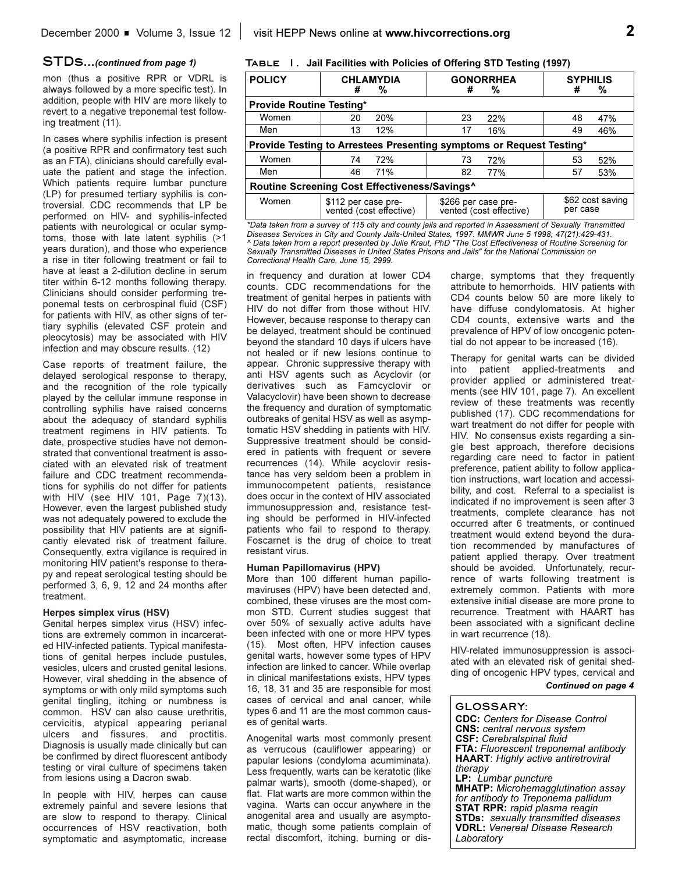#### **STDs...***(continued from page 1)*

mon (thus a positive RPR or VDRL is always followed by a more specific test). In addition, people with HIV are more likely to revert to a negative treponemal test following treatment (11).

In cases where syphilis infection is present (a positive RPR and confirmatory test such as an FTA), clinicians should carefully evaluate the patient and stage the infection. Which patients require lumbar puncture (LP) for presumed tertiary syphilis is controversial. CDC recommends that LP be performed on HIV- and syphilis-infected patients with neurological or ocular symptoms, those with late latent syphilis (>1 years duration), and those who experience a rise in titer following treatment or fail to have at least a 2-dilution decline in serum titer within 6-12 months following therapy. Clinicians should consider performing treponemal tests on cerbrospinal fluid (CSF) for patients with HIV, as other signs of tertiary syphilis (elevated CSF protein and pleocytosis) may be associated with HIV infection and may obscure results. (12)

Case reports of treatment failure, the delayed serological response to therapy, and the recognition of the role typically played by the cellular immune response in controlling syphilis have raised concerns about the adequacy of standard syphilis treatment regimens in HIV patients. To date, prospective studies have not demonstrated that conventional treatment is associated with an elevated risk of treatment failure and CDC treatment recommendations for syphilis do not differ for patients with HIV (see HIV 101, Page 7)(13). However, even the largest published study was not adequately powered to exclude the possibility that HIV patients are at significantly elevated risk of treatment failure. Consequently, extra vigilance is required in monitoring HIV patient's response to therapy and repeat serological testing should be performed 3, 6, 9, 12 and 24 months after treatment.

#### **Herpes simplex virus (HSV)**

Genital herpes simplex virus (HSV) infections are extremely common in incarcerated HIV-infected patients. Typical manifestations of genital herpes include pustules, vesicles, ulcers and crusted genital lesions. However, viral shedding in the absence of symptoms or with only mild symptoms such genital tingling, itching or numbness is common. HSV can also cause urethritis, cervicitis, atypical appearing perianal ulcers and fissures, and proctitis. Diagnosis is usually made clinically but can be confirmed by direct fluorescent antibody testing or viral culture of specimens taken from lesions using a Dacron swab.

In people with HIV, herpes can cause extremely painful and severe lesions that are slow to respond to therapy. Clinical occurrences of HSV reactivation, both symptomatic and asymptomatic, increase

#### **Table 1. Jail Facilities with Policies of Offering STD Testing (1997)**

| <b>POLICY</b>                                                        | <b>CHLAMYDIA</b>                               | <b>GONORRHEA</b>                               | <b>SYPHILIS</b>              |  |  |
|----------------------------------------------------------------------|------------------------------------------------|------------------------------------------------|------------------------------|--|--|
|                                                                      | %                                              | #                                              | #                            |  |  |
|                                                                      | #                                              | %                                              | %                            |  |  |
| <b>Provide Routine Testing*</b>                                      |                                                |                                                |                              |  |  |
| Women                                                                | 20%                                            | 23                                             | 48                           |  |  |
|                                                                      | 20                                             | 22%                                            | 47%                          |  |  |
| Men                                                                  | 12%                                            | 17                                             | 49                           |  |  |
|                                                                      | 13                                             | 16%                                            | 46%                          |  |  |
| Provide Testing to Arrestees Presenting symptoms or Request Testing* |                                                |                                                |                              |  |  |
| Women                                                                | 72%                                            | 73                                             | 53                           |  |  |
|                                                                      | 74                                             | 72%                                            | 52%                          |  |  |
| Men                                                                  | 46                                             | 82                                             | 57                           |  |  |
|                                                                      | 71%                                            | 77%                                            | 53%                          |  |  |
| Routine Screening Cost Effectiveness/Savings <sup>^</sup>            |                                                |                                                |                              |  |  |
| Women                                                                | \$112 per case pre-<br>vented (cost effective) | \$266 per case pre-<br>vented (cost effective) | \$62 cost saving<br>per case |  |  |

*\*Data taken from a survey of 115 city and county jails and reported in Assessment of Sexually Transmitted Diseases Services in City and County Jails-United States, 1997. MMWR June 5 1998; 47(21):429-431. ^ Data taken from a report presented by Julie Kraut, PhD "The Cost Effectiveness of Routine Screening for Sexually Transmitted Diseases in United States Prisons and Jails" for the National Commission on Correctional Health Care, June 15, 2999.*

in frequency and duration at lower CD4 counts. CDC recommendations for the treatment of genital herpes in patients with HIV do not differ from those without HIV. However, because response to therapy can be delayed, treatment should be continued beyond the standard 10 days if ulcers have not healed or if new lesions continue to appear. Chronic suppressive therapy with anti HSV agents such as Acyclovir (or derivatives such as Famcyclovir or Valacyclovir) have been shown to decrease the frequency and duration of symptomatic outbreaks of genital HSV as well as asymptomatic HSV shedding in patients with HIV. Suppressive treatment should be considered in patients with frequent or severe recurrences (14). While acyclovir resistance has very seldom been a problem in immunocompetent patients, resistance does occur in the context of HIV associated immunosuppression and, resistance testing should be performed in HIV-infected patients who fail to respond to therapy. Foscarnet is the drug of choice to treat resistant virus.

#### **Human Papillomavirus (HPV)**

More than 100 different human papillomaviruses (HPV) have been detected and, combined, these viruses are the most common STD. Current studies suggest that over 50% of sexually active adults have been infected with one or more HPV types (15). Most often, HPV infection causes genital warts, however some types of HPV infection are linked to cancer. While overlap in clinical manifestations exists, HPV types 16, 18, 31 and 35 are responsible for most cases of cervical and anal cancer, while types 6 and 11 are the most common causes of genital warts.

Anogenital warts most commonly present as verrucous (cauliflower appearing) or papular lesions (condyloma acumiminata). Less frequently, warts can be keratotic (like palmar warts), smooth (dome-shaped), or flat. Flat warts are more common within the vagina. Warts can occur anywhere in the anogenital area and usually are asymptomatic, though some patients complain of rectal discomfort, itching, burning or discharge, symptoms that they frequently attribute to hemorrhoids. HIV patients with CD4 counts below 50 are more likely to have diffuse condylomatosis. At higher CD4 counts, extensive warts and the prevalence of HPV of low oncogenic potential do not appear to be increased (16).

Therapy for genital warts can be divided into patient applied-treatments and provider applied or administered treatments (see HIV 101, page 7). An excellent review of these treatments was recently published (17). CDC recommendations for wart treatment do not differ for people with HIV. No consensus exists regarding a single best approach, therefore decisions regarding care need to factor in patient preference, patient ability to follow application instructions, wart location and accessibility, and cost. Referral to a specialist is indicated if no improvement is seen after 3 treatments, complete clearance has not occurred after 6 treatments, or continued treatment would extend beyond the duration recommended by manufactures of patient applied therapy. Over treatment should be avoided. Unfortunately, recurrence of warts following treatment is extremely common. Patients with more extensive initial disease are more prone to recurrence. Treatment with HAART has been associated with a significant decline in wart recurrence (18).

HIV-related immunosuppression is associated with an elevated risk of genital shedding of oncogenic HPV types, cervical and

#### *Continued on page 4*

**GLOSSARY: CDC:** *Centers for Disease Control* **CNS:** *central nervous system* **CSF:** *Cerebralspinal fluid* **FTA:** *Fluorescent treponemal antibody* **HAART**: *Highly active antiretroviral therapy* **LP:** *Lumbar puncture* **MHATP:** *Microhemagglutination assay for antibody to Treponema pallidum* **STAT RPR:** *rapid plasma reagin* **STDs:** *sexually transmitted diseases* **VDRL:** *Venereal Disease Research Laboratory*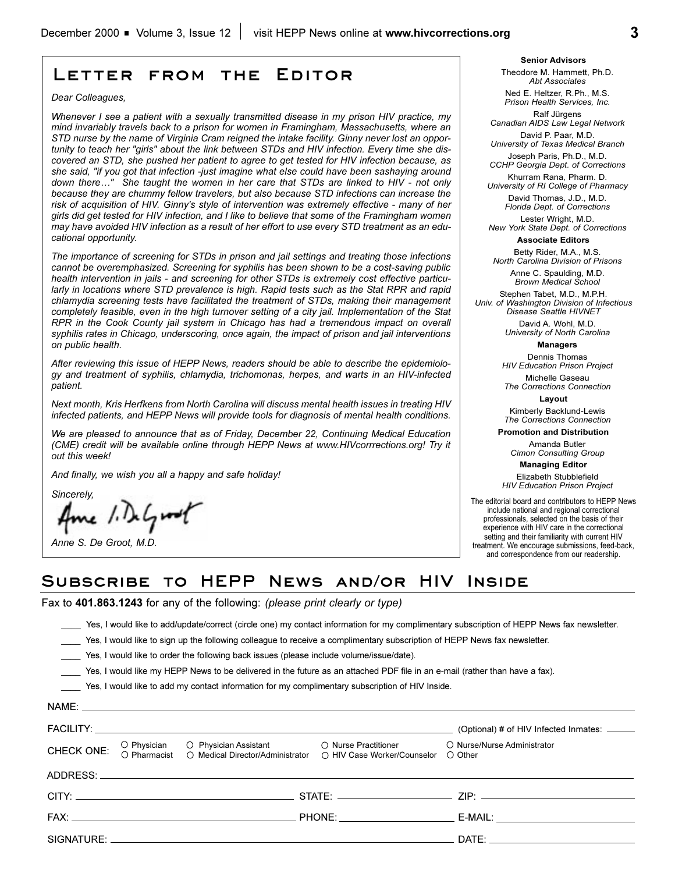# **Letter from the Editor**

*Dear Colleagues,*

*Whenever I see a patient with a sexually transmitted disease in my prison HIV practice, my mind invariably travels back to a prison for women in Framingham, Massachusetts, where an STD nurse by the name of Virginia Cram reigned the intake facility. Ginny never lost an opportunity to teach her "girls" about the link between STDs and HIV infection. Every time she discovered an STD, she pushed her patient to agree to get tested for HIV infection because, as she said, "if you got that infection -just imagine what else could have been sashaying around* down there..." She taught the women in her care that STDs are linked to HIV - not only *because they are chummy fellow travelers, but also because STD infections can increase the risk of acquisition of HIV. Ginny's style of intervention was extremely effective - many of her girls did get tested for HIV infection, and I like to believe that some of the Framingham women may have avoided HIV infection as a result of her effort to use every STD treatment as an educational opportunity.*

*The importance of screening for STDs in prison and jail settings and treating those infections cannot be overemphasized. Screening for syphilis has been shown to be a cost-saving public health intervention in jails - and screening for other STDs is extremely cost effective particularly in locations where STD prevalence is high. Rapid tests such as the Stat RPR and rapid chlamydia screening tests have facilitated the treatment of STDs, making their management completely feasible, even in the high turnover setting of a city jail. Implementation of the Stat RPR in the Cook County jail system in Chicago has had a tremendous impact on overall syphilis rates in Chicago, underscoring, once again, the impact of prison and jail interventions on public health.* 

*After reviewing this issue of HEPP News, readers should be able to describe the epidemiology and treatment of syphilis, chlamydia, trichomonas, herpes, and warts in an HIV-infected patient.* 

*Next month, Kris Herfkens from North Carolina will discuss mental health issues in treating HIV infected patients, and HEPP News will provide tools for diagnosis of mental health conditions.*

*We are pleased to announce that as of Friday, December 22, Continuing Medical Education (CME) credit will be available online through HEPP News at www.HIVcorrrections.org! Try it out this week!*

*And finally, we wish you all a happy and safe holiday!*

*Sincerely,*

ne / DeGroot

*Anne S. De Groot, M.D.*

**Senior Advisors** Theodore M. Hammett, Ph.D.

*Abt Associates* Ned E. Heltzer, R.Ph., M.S.

*Prison Health Services, Inc.* Ralf Jürgens

*Canadian AIDS Law Legal Network* David P. Paar, M.D.

*University of Texas Medical Branch* Joseph Paris, Ph.D., M.D.

*CCHP Georgia Dept. of Corrections*  Khurram Rana, Pharm. D.

*University of RI College of Pharmacy* David Thomas, J.D., M.D. *Florida Dept. of Corrections*

Lester Wright, M.D. *New York State Dept. of Corrections*

**Associate Editors**

Betty Rider, M.A., M.S. *North Carolina Division of Prisons*

Anne C. Spaulding, M.D. *Brown Medical School*

Stephen Tabet, M.D., M.P.H. *Univ. of Washington Division of Infectious Disease Seattle HIVNET*

> David A. Wohl, M.D. *University of North Carolina*

> > **Managers** Dennis Thomas

*HIV Education Prison Project*

Michelle Gaseau *The Corrections Connection*

**Layout** Kimberly Backlund-Lewis

*The Corrections Connection*

**Promotion and Distribution**

Amanda Butler *Cimon Consulting Group*

**Managing Editor** 

Elizabeth Stubblefield *HIV Education Prison Project*

The editorial board and contributors to HEPP News include national and regional correctional professionals, selected on the basis of their experience with HIV care in the correctional setting and their familiarity with current HIV treatment. We encourage submissions, feed-back, and correspondence from our readership.

### **Subscribe to HEPP News and/or HIV Inside**

Fax to **401.863.1243** for any of the following: *(please print clearly or type)*

\_\_\_\_ Yes, I would like to add/update/correct (circle one) my contact information for my complimentary subscription of HEPP News fax newsletter.

Yes, I would like to sign up the following colleague to receive a complimentary subscription of HEPP News fax newsletter.

\_\_\_\_ Yes, I would like to order the following back issues (please include volume/issue/date).

\_\_\_\_ Yes, I would like my HEPP News to be delivered in the future as an attached PDF file in an e-mail (rather than have a fax).

\_\_\_\_ Yes, I would like to add my contact information for my complimentary subscription of HIV Inside.

|                                                                                                                                                              | (Optional) # of HIV Infected Inmates: ______                                                                                                                                                                                   |
|--------------------------------------------------------------------------------------------------------------------------------------------------------------|--------------------------------------------------------------------------------------------------------------------------------------------------------------------------------------------------------------------------------|
| CHECK ONE:<br>O Physician O Physician Assistant O Nurse Practitioner<br>O Pharmacist O Medical Director/Administrator O HIV Case Worker/Counselor<br>○ Other | ○ Nurse/Nurse Administrator                                                                                                                                                                                                    |
|                                                                                                                                                              |                                                                                                                                                                                                                                |
|                                                                                                                                                              |                                                                                                                                                                                                                                |
|                                                                                                                                                              | E-MAIL: ________________________________                                                                                                                                                                                       |
|                                                                                                                                                              | DATE: the contract of the contract of the contract of the contract of the contract of the contract of the contract of the contract of the contract of the contract of the contract of the contract of the contract of the cont |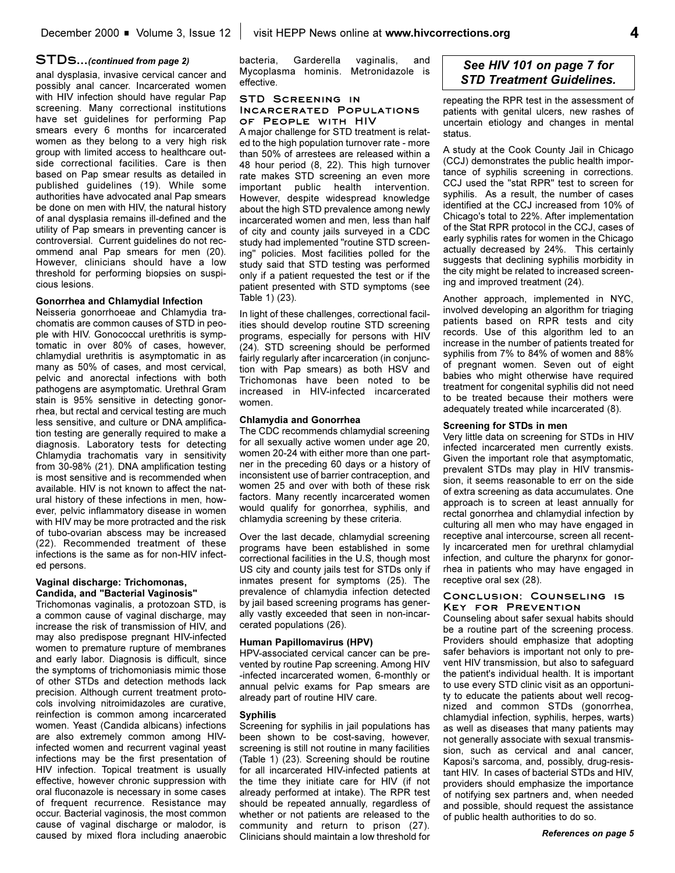#### **STDs...***(continued from page 2)*

anal dysplasia, invasive cervical cancer and possibly anal cancer. Incarcerated women with HIV infection should have regular Pap screening. Many correctional institutions have set guidelines for performing Pap smears every 6 months for incarcerated women as they belong to a very high risk group with limited access to healthcare outside correctional facilities. Care is then based on Pap smear results as detailed in published guidelines (19). While some authorities have advocated anal Pap smears be done on men with HIV, the natural history of anal dysplasia remains ill-defined and the utility of Pap smears in preventing cancer is controversial. Current guidelines do not recommend anal Pap smears for men (20). However, clinicians should have a low threshold for performing biopsies on suspicious lesions.

#### **Gonorrhea and Chlamydial Infection**

Neisseria gonorrhoeae and Chlamydia trachomatis are common causes of STD in people with HIV. Gonococcal urethritis is symptomatic in over 80% of cases, however, chlamydial urethritis is asymptomatic in as many as 50% of cases, and most cervical, pelvic and anorectal infections with both pathogens are asymptomatic. Urethral Gram stain is 95% sensitive in detecting gonorrhea, but rectal and cervical testing are much less sensitive, and culture or DNA amplification testing are generally required to make a diagnosis. Laboratory tests for detecting Chlamydia trachomatis vary in sensitivity from 30-98% (21). DNA amplification testing is most sensitive and is recommended when available. HIV is not known to affect the natural history of these infections in men, however, pelvic inflammatory disease in women with HIV may be more protracted and the risk of tubo-ovarian abscess may be increased (22). Recommended treatment of these infections is the same as for non-HIV infected persons.

#### **Vaginal discharge: Trichomonas, Candida, and "Bacterial Vaginosis"**

Trichomonas vaginalis, a protozoan STD, is a common cause of vaginal discharge, may increase the risk of transmission of HIV, and may also predispose pregnant HIV-infected women to premature rupture of membranes and early labor. Diagnosis is difficult, since the symptoms of trichomoniasis mimic those of other STDs and detection methods lack precision. Although current treatment protocols involving nitroimidazoles are curative, reinfection is common among incarcerated women. Yeast (Candida albicans) infections are also extremely common among HIVinfected women and recurrent vaginal yeast infections may be the first presentation of HIV infection. Topical treatment is usually effective, however chronic suppression with oral fluconazole is necessary in some cases of frequent recurrence. Resistance may occur. Bacterial vaginosis, the most common cause of vaginal discharge or malodor, is caused by mixed flora including anaerobic

bacteria, Garderella vaginalis, and Mycoplasma hominis. Metronidazole is effective.

#### **STD Screening in Incarcerated Populations of People with HIV**

A major challenge for STD treatment is related to the high population turnover rate - more than 50% of arrestees are released within a 48 hour period (8, 22). This high turnover rate makes STD screening an even more important public health intervention. However, despite widespread knowledge about the high STD prevalence among newly incarcerated women and men, less than half of city and county jails surveyed in a CDC study had implemented "routine STD screening" policies. Most facilities polled for the study said that STD testing was performed only if a patient requested the test or if the patient presented with STD symptoms (see Table 1) (23).

In light of these challenges, correctional facilities should develop routine STD screening programs, especially for persons with HIV (24). STD screening should be performed fairly regularly after incarceration (in conjunction with Pap smears) as both HSV and Trichomonas have been noted to be increased in HIV-infected incarcerated women.

#### **Chlamydia and Gonorrhea**

The CDC recommends chlamydial screening for all sexually active women under age 20, women 20-24 with either more than one partner in the preceding 60 days or a history of inconsistent use of barrier contraception, and women 25 and over with both of these risk factors. Many recently incarcerated women would qualify for gonorrhea, syphilis, and chlamydia screening by these criteria.

Over the last decade, chlamydial screening programs have been established in some correctional facilities in the U.S, though most US city and county jails test for STDs only if inmates present for symptoms (25). The prevalence of chlamydia infection detected by jail based screening programs has generally vastly exceeded that seen in non-incarcerated populations (26).

#### **Human Papillomavirus (HPV)**

HPV-associated cervical cancer can be prevented by routine Pap screening. Among HIV -infected incarcerated women, 6-monthly or annual pelvic exams for Pap smears are already part of routine HIV care.

#### **Syphilis**

Screening for syphilis in jail populations has been shown to be cost-saving, however, screening is still not routine in many facilities (Table 1) (23). Screening should be routine for all incarcerated HIV-infected patients at the time they initiate care for HIV (if not already performed at intake). The RPR test should be repeated annually, regardless of whether or not patients are released to the community and return to prison (27). Clinicians should maintain a low threshold for

### *See HIV 101 on page 7 for STD Treatment Guidelines.*

repeating the RPR test in the assessment of patients with genital ulcers, new rashes of uncertain etiology and changes in mental status.

A study at the Cook County Jail in Chicago (CCJ) demonstrates the public health importance of syphilis screening in corrections. CCJ used the "stat RPR" test to screen for syphilis. As a result, the number of cases identified at the CCJ increased from 10% of Chicago's total to 22%. After implementation of the Stat RPR protocol in the CCJ, cases of early syphilis rates for women in the Chicago actually decreased by 24%. This certainly suggests that declining syphilis morbidity in the city might be related to increased screening and improved treatment (24).

Another approach, implemented in NYC, involved developing an algorithm for triaging patients based on RPR tests and city records. Use of this algorithm led to an increase in the number of patients treated for syphilis from 7% to 84% of women and 88% of pregnant women. Seven out of eight babies who might otherwise have required treatment for congenital syphilis did not need to be treated because their mothers were adequately treated while incarcerated (8).

#### **Screening for STDs in men**

Very little data on screening for STDs in HIV infected incarcerated men currently exists. Given the important role that asymptomatic, prevalent STDs may play in HIV transmission, it seems reasonable to err on the side of extra screening as data accumulates. One approach is to screen at least annually for rectal gonorrhea and chlamydial infection by culturing all men who may have engaged in receptive anal intercourse, screen all recently incarcerated men for urethral chlamydial infection, and culture the pharynx for gonorrhea in patients who may have engaged in receptive oral sex (28).

#### **Conclusion: Counseling is Key for Prevention**

Counseling about safer sexual habits should be a routine part of the screening process. Providers should emphasize that adopting safer behaviors is important not only to prevent HIV transmission, but also to safeguard the patient's individual health. It is important to use every STD clinic visit as an opportunity to educate the patients about well recognized and common STDs (gonorrhea, chlamydial infection, syphilis, herpes, warts) as well as diseases that many patients may not generally associate with sexual transmission, such as cervical and anal cancer, Kaposi's sarcoma, and, possibly, drug-resistant HIV. In cases of bacterial STDs and HIV, providers should emphasize the importance of notifying sex partners and, when needed and possible, should request the assistance of public health authorities to do so.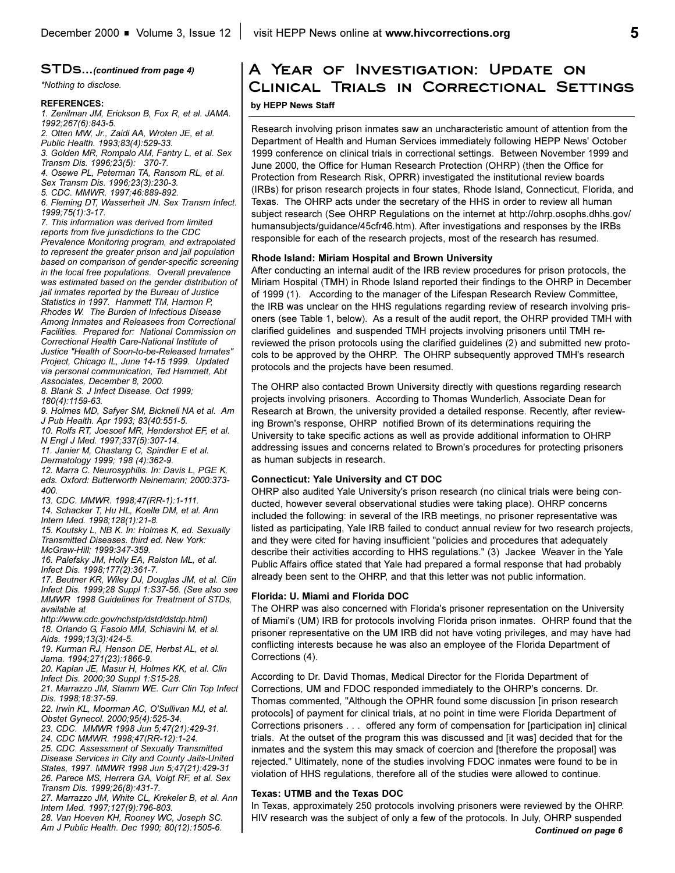#### **STDs...***(continued from page 4)*

**REFERENCES:**

*1. Zenilman JM, Erickson B, Fox R, et al. JAMA. 1992;267(6):843-5.*

*2. Otten MW, Jr., Zaidi AA, Wroten JE, et al.*

*Public Health. 1993;83(4):529-33.*

*3. Golden MR, Rompalo AM, Fantry L, et al. Sex Transm Dis. 1996;23(5): 370-7.*

*4. Osewe PL, Peterman TA, Ransom RL, et al.*

*Sex Transm Dis. 1996;23(3):230-3.*

*5. CDC. MMWR. 1997;46:889-892.*

*6. Fleming DT, Wasserheit JN. Sex Transm Infect. 1999;75(1):3-17.*

*7. This information was derived from limited reports from five jurisdictions to the CDC Prevalence Monitoring program, and extrapolated to represent the greater prison and jail population based on comparison of gender-specific screening in the local free populations. Overall prevalence was estimated based on the gender distribution of jail inmates reported by the Bureau of Justice Statistics in 1997. Hammett TM, Harmon P, Rhodes W. The Burden of Infectious Disease Among Inmates and Releasees from Correctional Facilities. Prepared for: National Commission on Correctional Health Care-National Institute of Justice "Health of Soon-to-be-Released Inmates" Project, Chicago IL, June 14-15 1999. Updated via personal communication, Ted Hammett, Abt Associates, December 8, 2000.*

*8. Blank S. J Infect Disease. Oct 1999; 180(4):1159-63.*

*9. Holmes MD, Safyer SM, Bicknell NA et al. Am J Pub Health. Apr 1993; 83(40:551-5.*

*10. Rolfs RT, Joesoef MR, Hendershot EF, et al.*

*N Engl J Med. 1997;337(5):307-14. 11. Janier M, Chastang C, Spindler E et al.*

*Dermatology 1999; 198 (4):362-9.*

*12. Marra C. Neurosyphilis. In: Davis L, PGE K, eds. Oxford: Butterworth Neinemann; 2000:373- 400.*

*13. CDC. MMWR. 1998;47(RR-1):1-111.*

*14. Schacker T, Hu HL, Koelle DM, et al. Ann Intern Med. 1998;128(1):21-8.*

*15. Koutsky L, NB K. In: Holmes K, ed. Sexually Transmitted Diseases. third ed. New York: McGraw-Hill; 1999:347-359.*

*16. Palefsky JM, Holly EA, Ralston ML, et al. Infect Dis. 1998;177(2):361-7.*

*17. Beutner KR, Wiley DJ, Douglas JM, et al. Clin Infect Dis. 1999;28 Suppl 1:S37-56. (See also see MMWR 1998 Guidelines for Treatment of STDs, available at*

*http://www.cdc.gov/nchstp/dstd/dstdp.html) 18. Orlando G, Fasolo MM, Schiavini M, et al. Aids. 1999;13(3):424-5.*

*19. Kurman RJ, Henson DE, Herbst AL, et al. Jama. 1994;271(23):1866-9.*

*20. Kaplan JE, Masur H, Holmes KK, et al. Clin*

*Infect Dis. 2000;30 Suppl 1:S15-28. 21. Marrazzo JM, Stamm WE. Curr Clin Top Infect*

*Dis. 1998;18:37-59.*

*22. Irwin KL, Moorman AC, O'Sullivan MJ, et al. Obstet Gynecol. 2000;95(4):525-34.* 

*23. CDC. MMWR 1998 Jun 5;47(21):429-31.*

*24. CDC MMWR. 1998;47(RR-12):1-24.*

*25. CDC. Assessment of Sexually Transmitted Disease Services in City and County Jails-United States, 1997. MMWR 1998 Jun 5;47(21):429-31 26. Parece MS, Herrera GA, Voigt RF, et al. Sex Transm Dis. 1999;26(8):431-7.*

*27. Marrazzo JM, White CL, Krekeler B, et al. Ann Intern Med. 1997;127(9):796-803.*

*28. Van Hoeven KH, Rooney WC, Joseph SC. Am J Public Health. Dec 1990; 80(12):1505-6.*

# **A Year of Investigation: Update on**  *\*Nothing to disclose.* **Clinical Trials in Correctional Settings by HEPP News Staff**

Research involving prison inmates saw an uncharacteristic amount of attention from the Department of Health and Human Services immediately following HEPP News' October 1999 conference on clinical trials in correctional settings. Between November 1999 and June 2000, the Office for Human Research Protection (OHRP) (then the Office for Protection from Research Risk, OPRR) investigated the institutional review boards (IRBs) for prison research projects in four states, Rhode Island, Connecticut, Florida, and Texas. The OHRP acts under the secretary of the HHS in order to review all human subject research (See OHRP Regulations on the internet at http://ohrp.osophs.dhhs.gov/ humansubjects/guidance/45cfr46.htm). After investigations and responses by the IRBs responsible for each of the research projects, most of the research has resumed.

#### **Rhode Island: Miriam Hospital and Brown University**

After conducting an internal audit of the IRB review procedures for prison protocols, the Miriam Hospital (TMH) in Rhode Island reported their findings to the OHRP in December of 1999 (1). According to the manager of the Lifespan Research Review Committee, the IRB was unclear on the HHS regulations regarding review of research involving prisoners (see Table 1, below). As a result of the audit report, the OHRP provided TMH with clarified guidelines and suspended TMH projects involving prisoners until TMH rereviewed the prison protocols using the clarified guidelines (2) and submitted new protocols to be approved by the OHRP. The OHRP subsequently approved TMH's research protocols and the projects have been resumed.

The OHRP also contacted Brown University directly with questions regarding research projects involving prisoners. According to Thomas Wunderlich, Associate Dean for Research at Brown, the university provided a detailed response. Recently, after reviewing Brown's response, OHRP notified Brown of its determinations requiring the University to take specific actions as well as provide additional information to OHRP addressing issues and concerns related to Brown's procedures for protecting prisoners as human subjects in research.

#### **Connecticut: Yale University and CT DOC**

OHRP also audited Yale University's prison research (no clinical trials were being conducted, however several observational studies were taking place). OHRP concerns included the following: in several of the IRB meetings, no prisoner representative was listed as participating, Yale IRB failed to conduct annual review for two research projects, and they were cited for having insufficient "policies and procedures that adequately describe their activities according to HHS regulations." (3) Jackee Weaver in the Yale Public Affairs office stated that Yale had prepared a formal response that had probably already been sent to the OHRP, and that this letter was not public information.

#### **Florida: U. Miami and Florida DOC**

The OHRP was also concerned with Florida's prisoner representation on the University of Miami's (UM) IRB for protocols involving Florida prison inmates. OHRP found that the prisoner representative on the UM IRB did not have voting privileges, and may have had conflicting interests because he was also an employee of the Florida Department of Corrections (4).

According to Dr. David Thomas, Medical Director for the Florida Department of Corrections, UM and FDOC responded immediately to the OHRP's concerns. Dr. Thomas commented, "Although the OPHR found some discussion [in prison research protocols] of payment for clinical trials, at no point in time were Florida Department of Corrections prisoners . . . offered any form of compensation for [participation in] clinical trials. At the outset of the program this was discussed and [it was] decided that for the inmates and the system this may smack of coercion and [therefore the proposal] was rejected." Ultimately, none of the studies involving FDOC inmates were found to be in violation of HHS regulations, therefore all of the studies were allowed to continue.

#### **Texas: UTMB and the Texas DOC**

In Texas, approximately 250 protocols involving prisoners were reviewed by the OHRP. HIV research was the subject of only a few of the protocols. In July, OHRP suspended *Continued on page 6*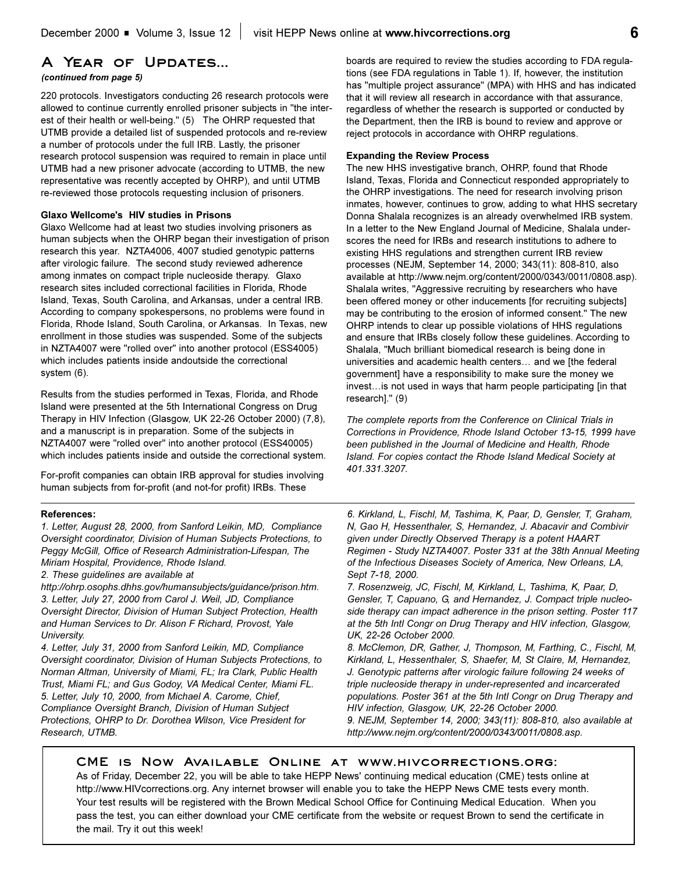### **A Year of Updates...**

#### *(continued from page 5)*

220 protocols. Investigators conducting 26 research protocols were allowed to continue currently enrolled prisoner subjects in "the interest of their health or well-being." (5) The OHRP requested that UTMB provide a detailed list of suspended protocols and re-review a number of protocols under the full IRB. Lastly, the prisoner research protocol suspension was required to remain in place until UTMB had a new prisoner advocate (according to UTMB, the new representative was recently accepted by OHRP), and until UTMB re-reviewed those protocols requesting inclusion of prisoners.

#### **Glaxo Wellcome's HIV studies in Prisons**

Glaxo Wellcome had at least two studies involving prisoners as human subjects when the OHRP began their investigation of prison research this year. NZTA4006, 4007 studied genotypic patterns after virologic failure. The second study reviewed adherence among inmates on compact triple nucleoside therapy. Glaxo research sites included correctional facilities in Florida, Rhode Island, Texas, South Carolina, and Arkansas, under a central IRB. According to company spokespersons, no problems were found in Florida, Rhode Island, South Carolina, or Arkansas. In Texas, new enrollment in those studies was suspended. Some of the subjects in NZTA4007 were "rolled over" into another protocol (ESS4005) which includes patients inside andoutside the correctional system (6).

Results from the studies performed in Texas, Florida, and Rhode Island were presented at the 5th International Congress on Drug Therapy in HIV Infection (Glasgow, UK 22-26 October 2000) (7,8), and a manuscript is in preparation. Some of the subjects in NZTA4007 were "rolled over" into another protocol (ESS40005) which includes patients inside and outside the correctional system.

For-profit companies can obtain IRB approval for studies involving human subjects from for-profit (and not-for profit) IRBs. These

#### **References:**

*1. Letter, August 28, 2000, from Sanford Leikin, MD, Compliance Oversight coordinator, Division of Human Subjects Protections, to Peggy McGill, Office of Research Administration-Lifespan, The Miriam Hospital, Providence, Rhode Island.*

*2. These guidelines are available at*

*http://ohrp.osophs.dhhs.gov/humansubjects/guidance/prison.htm. 3. Letter, July 27, 2000 from Carol J. Weil, JD, Compliance Oversight Director, Division of Human Subject Protection, Health and Human Services to Dr. Alison F Richard, Provost, Yale University.* 

*4. Letter, July 31, 2000 from Sanford Leikin, MD, Compliance Oversight coordinator, Division of Human Subjects Protections, to Norman Altman, University of Miami, FL; Ira Clark, Public Health Trust, Miami FL; and Gus Godoy, VA Medical Center, Miami FL. 5. Letter, July 10, 2000, from Michael A. Carome, Chief, Compliance Oversight Branch, Division of Human Subject Protections, OHRP to Dr. Dorothea Wilson, Vice President for Research, UTMB.*

boards are required to review the studies according to FDA regulations (see FDA regulations in Table 1). If, however, the institution has "multiple project assurance" (MPA) with HHS and has indicated that it will review all research in accordance with that assurance, regardless of whether the research is supported or conducted by the Department, then the IRB is bound to review and approve or reject protocols in accordance with OHRP regulations.

#### **Expanding the Review Process**

The new HHS investigative branch, OHRP, found that Rhode Island, Texas, Florida and Connecticut responded appropriately to the OHRP investigations. The need for research involving prison inmates, however, continues to grow, adding to what HHS secretary Donna Shalala recognizes is an already overwhelmed IRB system. In a letter to the New England Journal of Medicine, Shalala underscores the need for IRBs and research institutions to adhere to existing HHS regulations and strengthen current IRB review processes (NEJM, September 14, 2000; 343(11): 808-810, also available at http://www.nejm.org/content/2000/0343/0011/0808.asp). Shalala writes, "Aggressive recruiting by researchers who have been offered money or other inducements [for recruiting subjects] may be contributing to the erosion of informed consent." The new OHRP intends to clear up possible violations of HHS regulations and ensure that IRBs closely follow these guidelines. According to Shalala, "Much brilliant biomedical research is being done in universities and academic health centers... and we [the federal government] have a responsibility to make sure the money we invest... is not used in ways that harm people participating [in that research]." (9)

*The complete reports from the Conference on Clinical Trials in Corrections in Providence, Rhode Island October 13-15, 1999 have been published in the Journal of Medicine and Health, Rhode Island. For copies contact the Rhode Island Medical Society at 401.331.3207.*

*6. Kirkland, L, Fischl, M, Tashima, K, Paar, D, Gensler, T, Graham, N, Gao H, Hessenthaler, S, Hernandez, J. Abacavir and Combivir given under Directly Observed Therapy is a potent HAART Regimen - Study NZTA4007. Poster 331 at the 38th Annual Meeting of the Infectious Diseases Society of America, New Orleans, LA, Sept 7-18, 2000.*

*7. Rosenzweig, JC, Fischl, M, Kirkland, L, Tashima, K, Paar, D, Gensler, T, Capuano, G, and Hernandez, J. Compact triple nucleoside therapy can impact adherence in the prison setting. Poster 117 at the 5th Intl Congr on Drug Therapy and HIV infection, Glasgow, UK, 22-26 October 2000.*

*8. McClemon, DR, Gather, J, Thompson, M, Farthing, C., Fischl, M, Kirkland, L, Hessenthaler, S, Shaefer, M, St Claire, M, Hernandez, J. Genotypic patterns after virologic failure following 24 weeks of triple nucleoside therapy in under-represented and incarcerated populations. Poster 361 at the 5th Intl Congr on Drug Therapy and HIV infection, Glasgow, UK, 22-26 October 2000.*

*9. NEJM, September 14, 2000; 343(11): 808-810, also available at http://www.nejm.org/content/2000/0343/0011/0808.asp.*

### **CME is Now Available Online at www.hivcorrections.org:**

As of Friday, December 22, you will be able to take HEPP News' continuing medical education (CME) tests online at http://www.HIVcorrections.org. Any internet browser will enable you to take the HEPP News CME tests every month. Your test results will be registered with the Brown Medical School Office for Continuing Medical Education. When you pass the test, you can either download your CME certificate from the website or request Brown to send the certificate in the mail. Try it out this week!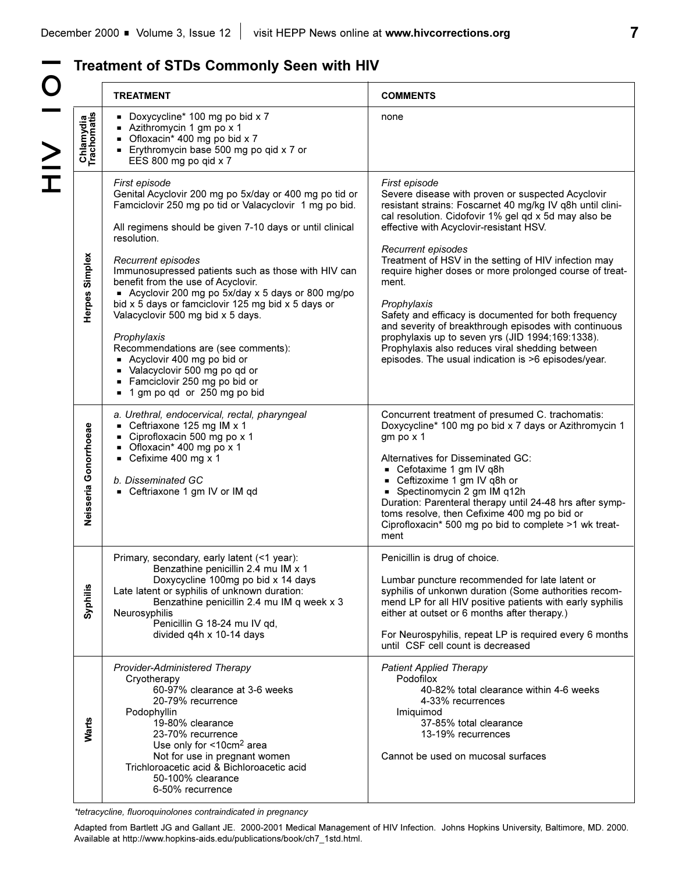**HOIN 2H** O – VII

# **Treatment of STDs Commonly Seen with HIV**

|                          | <b>TREATMENT</b>                                                                                                                                                                                                                                                                                                                                                                                                                                                                                                                                                                                                                                                        | <b>COMMENTS</b>                                                                                                                                                                                                                                                                                                                                                                                                                                                                                                                                                                                                                                                                    |
|--------------------------|-------------------------------------------------------------------------------------------------------------------------------------------------------------------------------------------------------------------------------------------------------------------------------------------------------------------------------------------------------------------------------------------------------------------------------------------------------------------------------------------------------------------------------------------------------------------------------------------------------------------------------------------------------------------------|------------------------------------------------------------------------------------------------------------------------------------------------------------------------------------------------------------------------------------------------------------------------------------------------------------------------------------------------------------------------------------------------------------------------------------------------------------------------------------------------------------------------------------------------------------------------------------------------------------------------------------------------------------------------------------|
| Chlamydia<br>Trachomatis | Doxycycline* 100 mg po bid x 7<br>Azithromycin 1 gm po x 1<br>Ofloxacin* 400 mg po bid x 7<br><b>Erythromycin base 500 mg po qid x 7 or</b><br>EES 800 mg po qid x 7                                                                                                                                                                                                                                                                                                                                                                                                                                                                                                    | none                                                                                                                                                                                                                                                                                                                                                                                                                                                                                                                                                                                                                                                                               |
| Herpes Simplex           | First episode<br>Genital Acyclovir 200 mg po 5x/day or 400 mg po tid or<br>Famciclovir 250 mg po tid or Valacyclovir 1 mg po bid.<br>All regimens should be given 7-10 days or until clinical<br>resolution.<br>Recurrent episodes<br>Immunosupressed patients such as those with HIV can<br>benefit from the use of Acyclovir.<br>■ Acyclovir 200 mg po 5x/day x 5 days or 800 mg/po<br>bid x 5 days or famciclovir 125 mg bid x 5 days or<br>Valacyclovir 500 mg bid x 5 days.<br>Prophylaxis<br>Recommendations are (see comments):<br>- Acyclovir 400 mg po bid or<br>Valacyclovir 500 mg po qd or<br>Famciclovir 250 mg po bid or<br>■ 1 gm po qd or 250 mg po bid | First episode<br>Severe disease with proven or suspected Acyclovir<br>resistant strains: Foscarnet 40 mg/kg IV q8h until clini-<br>cal resolution. Cidofovir 1% gel qd x 5d may also be<br>effective with Acyclovir-resistant HSV.<br>Recurrent episodes<br>Treatment of HSV in the setting of HIV infection may<br>require higher doses or more prolonged course of treat-<br>ment.<br>Prophylaxis<br>Safety and efficacy is documented for both frequency<br>and severity of breakthrough episodes with continuous<br>prophylaxis up to seven yrs (JID 1994;169:1338).<br>Prophylaxis also reduces viral shedding between<br>episodes. The usual indication is >6 episodes/year. |
| Neisseria Gonorrhoeae    | a. Urethral, endocervical, rectal, pharyngeal<br>■ Ceftriaxone 125 mg IM $x$ 1<br>Ciprofloxacin 500 mg po x 1<br>Ofloxacin* 400 mg po x 1<br>■ Cefixime 400 mg $x$ 1<br>b. Disseminated GC<br>- Ceftriaxone 1 gm IV or IM qd                                                                                                                                                                                                                                                                                                                                                                                                                                            | Concurrent treatment of presumed C. trachomatis:<br>Doxycycline* 100 mg po bid x 7 days or Azithromycin 1<br>gm po x 1<br>Alternatives for Disseminated GC:<br>■ Cefotaxime 1 gm IV q8h<br>■ Ceftizoxime 1 gm IV q8h or<br>Spectinomycin 2 gm IM q12h<br>Duration: Parenteral therapy until 24-48 hrs after symp-<br>toms resolve, then Cefixime 400 mg po bid or<br>Ciprofloxacin* 500 mg po bid to complete >1 wk treat-<br>ment                                                                                                                                                                                                                                                 |
| Syphilis                 | Primary, secondary, early latent (<1 year):<br>Benzathine penicillin 2.4 mu IM x 1<br>Doxycycline 100mg po bid x 14 days<br>Late latent or syphilis of unknown duration:<br>Benzathine penicillin 2.4 mu IM q week x 3<br>Neurosyphilis<br>Penicillin G 18-24 mu IV qd,<br>divided q4h x 10-14 days                                                                                                                                                                                                                                                                                                                                                                     | Penicillin is drug of choice.<br>Lumbar puncture recommended for late latent or<br>syphilis of unkonwn duration (Some authorities recom-<br>mend LP for all HIV positive patients with early syphilis<br>either at outset or 6 months after therapy.)<br>For Neurospyhilis, repeat LP is required every 6 months<br>until CSF cell count is decreased                                                                                                                                                                                                                                                                                                                              |
| Warts                    | Provider-Administered Therapy<br>Cryotherapy<br>60-97% clearance at 3-6 weeks<br>20-79% recurrence<br>Podophyllin<br>19-80% clearance<br>23-70% recurrence<br>Use only for <10cm <sup>2</sup> area<br>Not for use in pregnant women<br>Trichloroacetic acid & Bichloroacetic acid<br>50-100% clearance<br>6-50% recurrence                                                                                                                                                                                                                                                                                                                                              | <b>Patient Applied Therapy</b><br>Podofilox<br>40-82% total clearance within 4-6 weeks<br>4-33% recurrences<br>Imiquimod<br>37-85% total clearance<br>13-19% recurrences<br>Cannot be used on mucosal surfaces                                                                                                                                                                                                                                                                                                                                                                                                                                                                     |

*\*tetracycline, fluoroquinolones contraindicated in pregnancy*

Adapted from Bartlett JG and Gallant JE. 2000-2001 Medical Management of HIV Infection. Johns Hopkins University, Baltimore, MD. 2000. Available at http://www.hopkins-aids.edu/publications/book/ch7\_1std.html.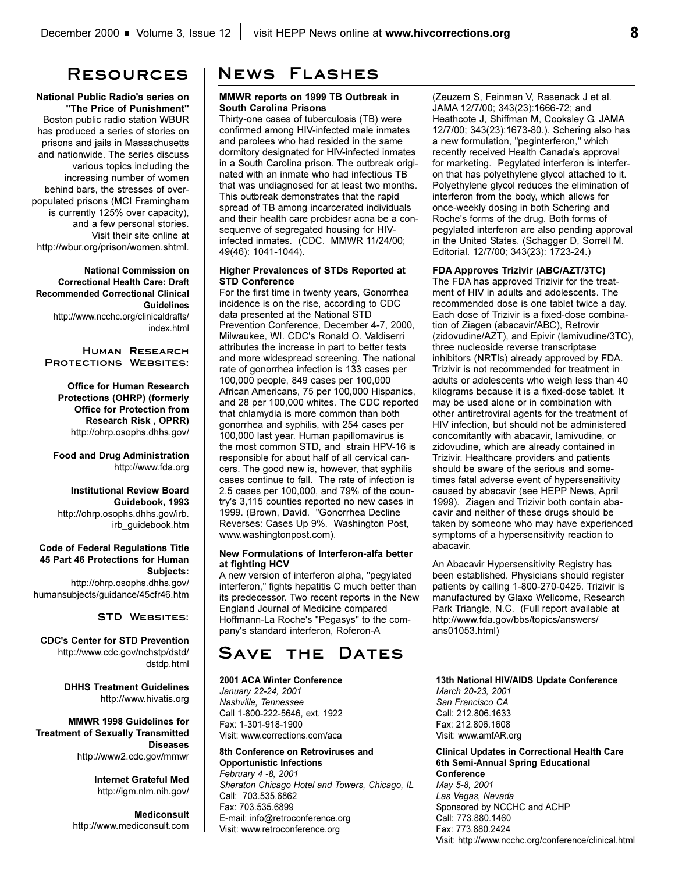**National Public Radio's series on "The Price of Punishment"** Boston public radio station WBUR has produced a series of stories on prisons and jails in Massachusetts and nationwide. The series discuss various topics including the increasing number of women behind bars, the stresses of overpopulated prisons (MCI Framingham is currently 125% over capacity), and a few personal stories. Visit their site online at http://wbur.org/prison/women.shtml.

**National Commission on Correctional Health Care: Draft Recommended Correctional Clinical Guidelines** http://www.ncchc.org/clinicaldrafts/ index.html

#### **Human Research Protections Websites:**

**Office for Human Research Protections (OHRP) (formerly Office for Protection from Research Risk , OPRR)** http://ohrp.osophs.dhhs.gov/

**Food and Drug Administration** http://www.fda.org

#### **Institutional Review Board Guidebook, 1993** http://ohrp.osophs.dhhs.gov/irb. irb\_guidebook.htm

#### **Code of Federal Regulations Title 45 Part 46 Protections for Human Subjects:** http://ohrp.osophs.dhhs.gov/ humansubjects/guidance/45cfr46.htm

#### **STD Websites:**

**CDC's Center for STD Prevention** http://www.cdc.gov/nchstp/dstd/ dstdp.html

> **DHHS Treatment Guidelines**  http://www.hivatis.org

**MMWR 1998 Guidelines for Treatment of Sexually Transmitted Diseases** http://www2.cdc.gov/mmwr

> **Internet Grateful Med** http://igm.nlm.nih.gov/

**Mediconsult** http://www.mediconsult.com

# **Resources News Flashes**

#### **MMWR reports on 1999 TB Outbreak in South Carolina Prisons**

Thirty-one cases of tuberculosis (TB) were confirmed among HIV-infected male inmates and parolees who had resided in the same dormitory designated for HIV-infected inmates in a South Carolina prison. The outbreak originated with an inmate who had infectious TB that was undiagnosed for at least two months. This outbreak demonstrates that the rapid spread of TB among incarcerated individuals and their health care probidesr acna be a consequenve of segregated housing for HIVinfected inmates. (CDC. MMWR 11/24/00; 49(46): 1041-1044).

#### **Higher Prevalences of STDs Reported at STD Conference**

For the first time in twenty years, Gonorrhea incidence is on the rise, according to CDC data presented at the National STD Prevention Conference, December 4-7, 2000, Milwaukee, WI. CDC's Ronald O. Valdiserri attributes the increase in part to better tests and more widespread screening. The national rate of gonorrhea infection is 133 cases per 100,000 people, 849 cases per 100,000 African Americans, 75 per 100,000 Hispanics, and 28 per 100,000 whites. The CDC reported that chlamydia is more common than both gonorrhea and syphilis, with 254 cases per 100,000 last year. Human papillomavirus is the most common STD, and strain HPV-16 is responsible for about half of all cervical cancers. The good new is, however, that syphilis cases continue to fall. The rate of infection is 2.5 cases per 100,000, and 79% of the country's 3,115 counties reported no new cases in 1999. (Brown, David. "Gonorrhea Decline Reverses: Cases Up 9%. Washington Post, www.washingtonpost.com).

#### **New Formulations of Interferon-alfa better at fighting HCV**

A new version of interferon alpha, "pegylated interferon," fights hepatitis C much better than its predecessor. Two recent reports in the New England Journal of Medicine compared Hoffmann-La Roche's "Pegasys" to the company's standard interferon, Roferon-A

# **Save the Dates**

#### **2001 ACA Winter Conference**

*January 22-24, 2001 Nashville, Tennessee*  Call 1-800-222-5646, ext. 1922 Fax: 1-301-918-1900 Visit: www.corrections.com/aca

#### **8th Conference on Retroviruses and Opportunistic Infections**

*February 4 -8, 2001 Sheraton Chicago Hotel and Towers, Chicago, IL* Call: 703.535.6862 Fax: 703.535.6899 E-mail: info@retroconference.org Visit: www.retroconference.org

(Zeuzem S, Feinman V, Rasenack J et al. JAMA 12/7/00; 343(23):1666-72; and Heathcote J, Shiffman M, Cooksley G. JAMA 12/7/00; 343(23):1673-80.). Schering also has a new formulation, "peginterferon," which recently received Health Canada's approval for marketing. Pegylated interferon is interferon that has polyethylene glycol attached to it. Polyethylene glycol reduces the elimination of interferon from the body, which allows for once-weekly dosing in both Schering and Roche's forms of the drug. Both forms of pegylated interferon are also pending approval in the United States. (Schagger D, Sorrell M. Editorial. 12/7/00; 343(23): 1723-24.)

#### **FDA Approves Trizivir (ABC/AZT/3TC)**

The FDA has approved Trizivir for the treatment of HIV in adults and adolescents. The recommended dose is one tablet twice a day. Each dose of Trizivir is a fixed-dose combination of Ziagen (abacavir/ABC), Retrovir (zidovudine/AZT), and Epivir (lamivudine/3TC), three nucleoside reverse transcriptase inhibitors (NRTIs) already approved by FDA. Trizivir is not recommended for treatment in adults or adolescents who weigh less than 40 kilograms because it is a fixed-dose tablet. It may be used alone or in combination with other antiretroviral agents for the treatment of HIV infection, but should not be administered concomitantly with abacavir, lamivudine, or zidovudine, which are already contained in Trizivir. Healthcare providers and patients should be aware of the serious and sometimes fatal adverse event of hypersensitivity caused by abacavir (see HEPP News, April 1999). Ziagen and Trizivir both contain abacavir and neither of these drugs should be taken by someone who may have experienced symptoms of a hypersensitivity reaction to abacavir.

An Abacavir Hypersensitivity Registry has been established. Physicians should register patients by calling 1-800-270-0425. Trizivir is manufactured by Glaxo Wellcome, Research Park Triangle, N.C. (Full report available at http://www.fda.gov/bbs/topics/answers/ ans01053.html)

#### **13th National HIV/AIDS Update Conference**

*March 20-23, 2001 San Francisco CA* Call: 212.806.1633 Fax: 212.806.1608 Visit: www.amfAR.org

**Clinical Updates in Correctional Health Care 6th Semi-Annual Spring Educational Conference**  *May 5-8, 2001 Las Vegas, Nevada* Sponsored by NCCHC and ACHP Call: 773.880.1460 Fax: 773.880.2424 Visit: http://www.ncchc.org/conference/clinical.html